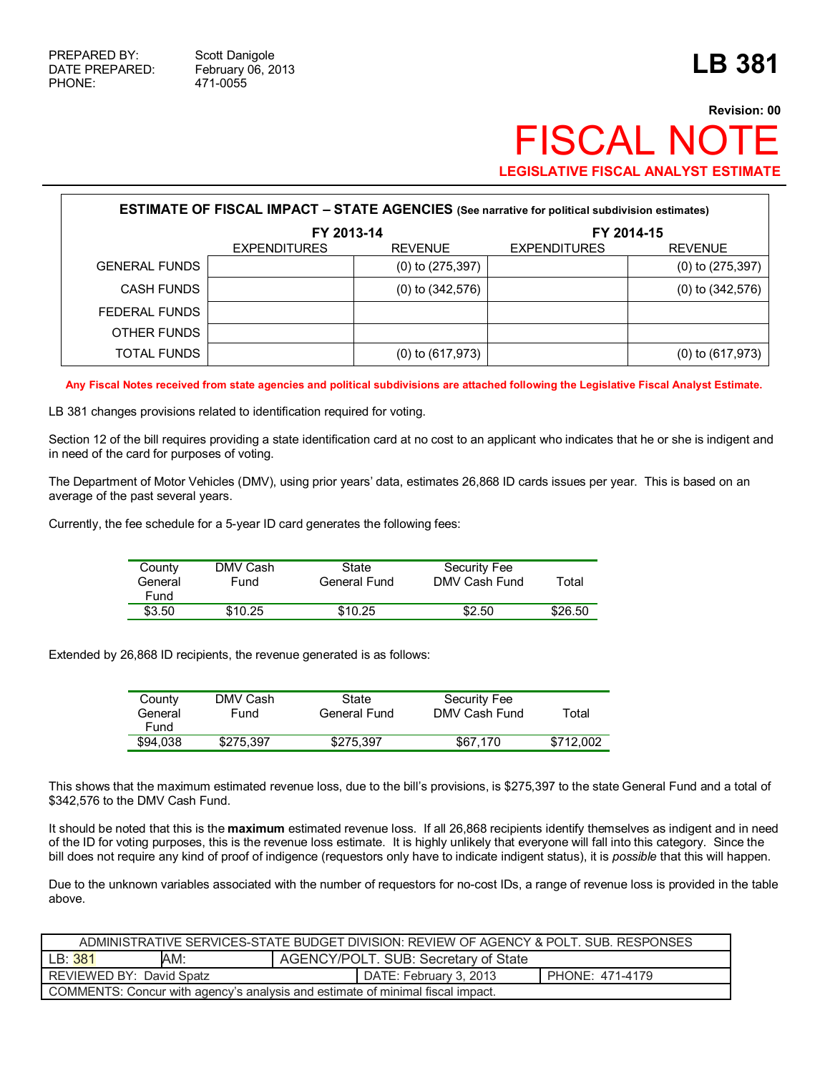## **Revision: 00 FISCAL NO LEGISLATIVE FISCAL ANALYST ESTIMATE**

|                      | <b>ESTIMATE OF FISCAL IMPACT - STATE AGENCIES</b> (See narrative for political subdivision estimates) |                       |                     |                       |
|----------------------|-------------------------------------------------------------------------------------------------------|-----------------------|---------------------|-----------------------|
|                      | FY 2013-14                                                                                            |                       |                     | FY 2014-15            |
|                      | <b>EXPENDITURES</b>                                                                                   | <b>REVENUE</b>        | <b>EXPENDITURES</b> | <b>REVENUE</b>        |
| <b>GENERAL FUNDS</b> |                                                                                                       | $(0)$ to $(275, 397)$ |                     | $(0)$ to $(275, 397)$ |
| <b>CASH FUNDS</b>    |                                                                                                       | $(0)$ to $(342,576)$  |                     | $(0)$ to $(342,576)$  |
| FEDERAL FUNDS        |                                                                                                       |                       |                     |                       |
| OTHER FUNDS          |                                                                                                       |                       |                     |                       |
| TOTAL FUNDS          |                                                                                                       | $(0)$ to $(617, 973)$ |                     | $(0)$ to $(617, 973)$ |

**Any Fiscal Notes received from state agencies and political subdivisions are attached following the Legislative Fiscal Analyst Estimate.** 

LB 381 changes provisions related to identification required for voting.

Section 12 of the bill requires providing a state identification card at no cost to an applicant who indicates that he or she is indigent and in need of the card for purposes of voting.

The Department of Motor Vehicles (DMV), using prior years' data, estimates 26,868 ID cards issues per year. This is based on an average of the past several years.

Currently, the fee schedule for a 5-year ID card generates the following fees:

| County<br>General<br>Fund | DMV Cash<br>Fund | State<br>General Fund | Security Fee<br>DMV Cash Fund | Total   |
|---------------------------|------------------|-----------------------|-------------------------------|---------|
| \$3.50                    | \$10.25          | \$10.25               | \$2.50                        | \$26.50 |

Extended by 26,868 ID recipients, the revenue generated is as follows:

| County<br>General<br>Fund | DMV Cash<br>Fund | State<br>General Fund | Security Fee<br>DMV Cash Fund | Total     |
|---------------------------|------------------|-----------------------|-------------------------------|-----------|
| \$94,038                  | \$275.397        | \$275.397             | \$67.170                      | \$712.002 |

This shows that the maximum estimated revenue loss, due to the bill's provisions, is \$275,397 to the state General Fund and a total of \$342,576 to the DMV Cash Fund.

It should be noted that this is the **maximum** estimated revenue loss. If all 26,868 recipients identify themselves as indigent and in need of the ID for voting purposes, this is the revenue loss estimate. It is highly unlikely that everyone will fall into this category. Since the bill does not require any kind of proof of indigence (requestors only have to indicate indigent status), it is *possible* that this will happen.

Due to the unknown variables associated with the number of requestors for no-cost IDs, a range of revenue loss is provided in the table above.

| ADMINISTRATIVE SERVICES-STATE BUDGET DIVISION: REVIEW OF AGENCY & POLT. SUB. RESPONSES |  |  |                        |                 |  |  |
|----------------------------------------------------------------------------------------|--|--|------------------------|-----------------|--|--|
| AM:<br>AGENCY/POLT. SUB: Secretary of State<br>LB:381                                  |  |  |                        |                 |  |  |
| REVIEWED BY: David Spatz                                                               |  |  | DATE: February 3, 2013 | PHONE: 471-4179 |  |  |
| COMMENTS: Concur with agency's analysis and estimate of minimal fiscal impact.         |  |  |                        |                 |  |  |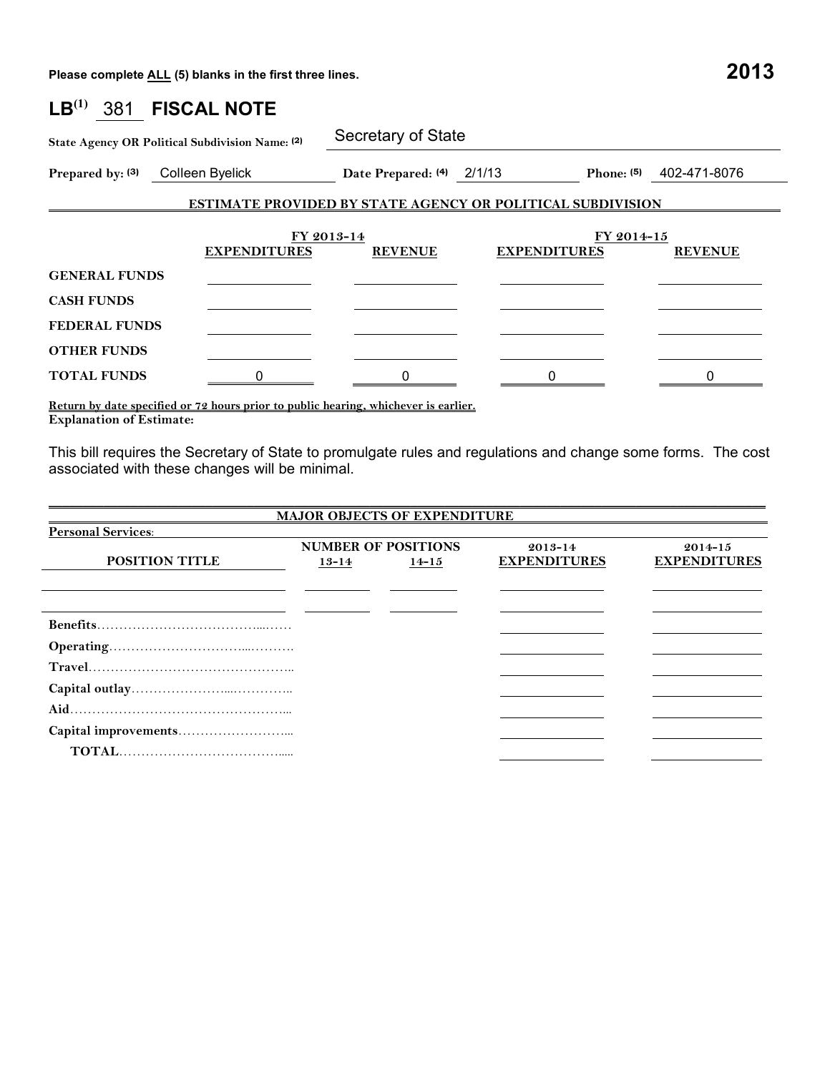**Please complete ALL (5) blanks in the first three lines. 2013**

| $\mathsf{LB}^{(1)}$  | 381 FISCAL NOTE                                 |                              |                                                                   |                              |
|----------------------|-------------------------------------------------|------------------------------|-------------------------------------------------------------------|------------------------------|
|                      | State Agency OR Political Subdivision Name: (2) | Secretary of State           |                                                                   |                              |
|                      | Prepared by: (3) Colleen Byelick                | Date Prepared: (4) 2/1/13    |                                                                   | Phone: $(5)$<br>402-471-8076 |
|                      |                                                 |                              | <b>ESTIMATE PROVIDED BY STATE AGENCY OR POLITICAL SUBDIVISION</b> |                              |
|                      | <b>EXPENDITURES</b>                             | FY 2013-14<br><b>REVENUE</b> | <b>EXPENDITURES</b>                                               | FY 2014-15<br><b>REVENUE</b> |
| <b>GENERAL FUNDS</b> |                                                 |                              |                                                                   |                              |
| <b>CASH FUNDS</b>    |                                                 |                              |                                                                   |                              |
| <b>FEDERAL FUNDS</b> |                                                 |                              |                                                                   |                              |
| <b>OTHER FUNDS</b>   |                                                 |                              |                                                                   |                              |
| <b>TOTAL FUNDS</b>   |                                                 |                              |                                                                   |                              |

**Return by date specified or 72 hours prior to public hearing, whichever is earlier. Explanation of Estimate:** 

This bill requires the Secretary of State to promulgate rules and regulations and change some forms. The cost associated with these changes will be minimal.

| <b>MAJOR OBJECTS OF EXPENDITURE</b> |           |                            |                     |  |  |  |  |  |  |
|-------------------------------------|-----------|----------------------------|---------------------|--|--|--|--|--|--|
|                                     |           |                            |                     |  |  |  |  |  |  |
|                                     |           | $2013 - 14$                | $2014 - 15$         |  |  |  |  |  |  |
| $13 - 14$                           | $14 - 15$ | <b>EXPENDITURES</b>        | <b>EXPENDITURES</b> |  |  |  |  |  |  |
|                                     |           |                            |                     |  |  |  |  |  |  |
|                                     |           |                            |                     |  |  |  |  |  |  |
|                                     |           |                            |                     |  |  |  |  |  |  |
|                                     |           |                            |                     |  |  |  |  |  |  |
|                                     |           |                            |                     |  |  |  |  |  |  |
|                                     |           |                            |                     |  |  |  |  |  |  |
|                                     |           |                            |                     |  |  |  |  |  |  |
|                                     |           |                            |                     |  |  |  |  |  |  |
|                                     |           |                            |                     |  |  |  |  |  |  |
|                                     |           |                            |                     |  |  |  |  |  |  |
|                                     |           | <b>NUMBER OF POSITIONS</b> |                     |  |  |  |  |  |  |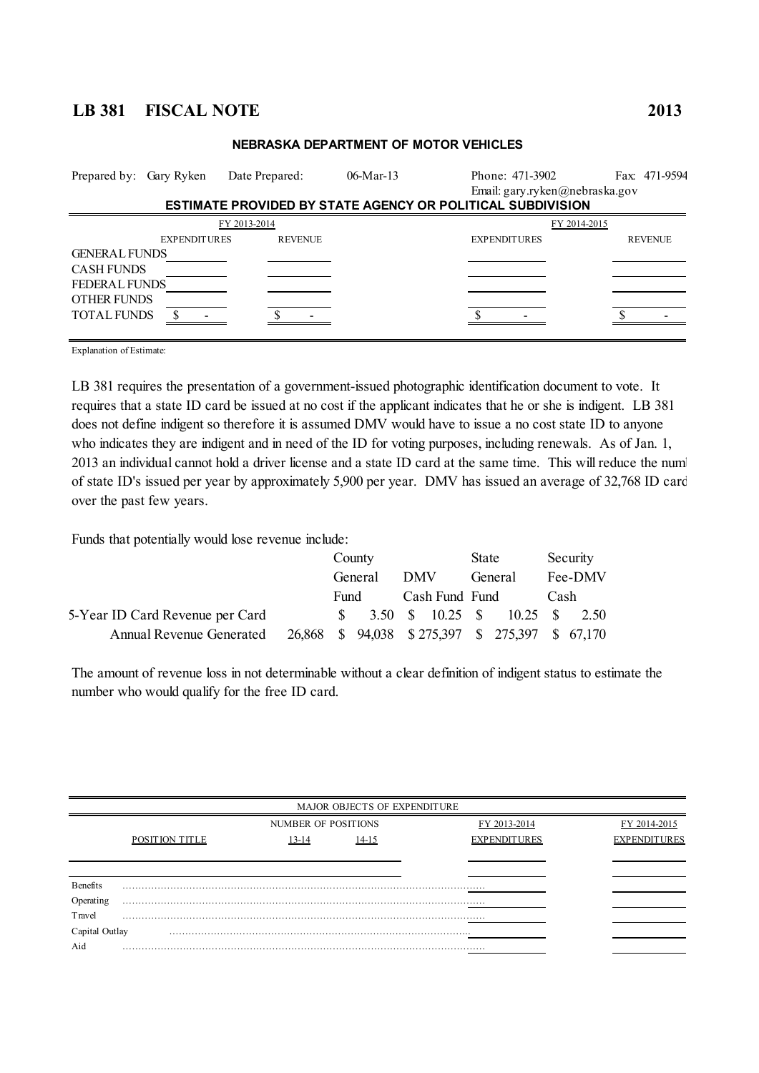## **LB 381 FISCAL NOTE 2013**

| Prepared by: Gary Ryken                                                                                       |                     | Date Prepared: | $06$ -Mar-13 | Phone: 471-3902<br>Email: gary.ryken@nebraska.gov                 | Fax: 471-9594  |
|---------------------------------------------------------------------------------------------------------------|---------------------|----------------|--------------|-------------------------------------------------------------------|----------------|
|                                                                                                               |                     |                |              | <b>ESTIMATE PROVIDED BY STATE AGENCY OR POLITICAL SUBDIVISION</b> |                |
|                                                                                                               |                     | FY 2013-2014   |              | FY 2014-2015                                                      |                |
|                                                                                                               | <b>EXPENDITURES</b> | <b>REVENUE</b> |              | <b>EXPENDITURES</b>                                               | <b>REVENUE</b> |
| <b>GENERAL FUNDS</b><br><b>CASH FUNDS</b><br><b>FEDERAL FUNDS</b><br><b>OTHER FUNDS</b><br><b>TOTAL FUNDS</b> |                     |                |              |                                                                   |                |

## **NEBRASKA DEPARTMENT OF MOTOR VEHICLES**

Explanation of Estimate:

LB 381 requires the presentation of a government-issued photographic identification document to vote. It requires that a state ID card be issued at no cost if the applicant indicates that he or she is indigent. LB 381 does not define indigent so therefore it is assumed DMV would have to issue a no cost state ID to anyone who indicates they are indigent and in need of the ID for voting purposes, including renewals. As of Jan. 1, 2013 an individual cannot hold a driver license and a state ID card at the same time. This will reduce the num of state ID's issued per year by approximately 5,900 per year. DMV has issued an average of 32,768 ID cards over the past few years.

Funds that potentially would lose revenue include:

|                                 |  | County  |            |                | State |                                                  |      | Security |
|---------------------------------|--|---------|------------|----------------|-------|--------------------------------------------------|------|----------|
|                                 |  | General | <b>DMV</b> |                |       | General                                          |      | Fee-DMV  |
|                                 |  | Fund    |            | Cash Fund Fund |       |                                                  | Cash |          |
| 5-Year ID Card Revenue per Card |  |         |            |                |       | $\frac{1}{2}$ 3.50 \$ 10.25 \$ 10.25 \$ 2.50     |      |          |
| <b>Annual Revenue Generated</b> |  |         |            |                |       | 26,868 \$ 94,038 \$ 275,397 \$ 275,397 \$ 67,170 |      |          |

The amount of revenue loss in not determinable without a clear definition of indigent status to estimate the number who would qualify for the free ID card.

|                 |                |                     | MAJOR OBJECTS OF EXPENDITURE |                     |                     |
|-----------------|----------------|---------------------|------------------------------|---------------------|---------------------|
|                 |                | NUMBER OF POSITIONS |                              | FY 2013-2014        | FY 2014-2015        |
|                 | POSITION TITLE | $13 - 14$           | $14-15$                      | <b>EXPENDITURES</b> | <b>EXPENDITURES</b> |
|                 |                |                     |                              |                     |                     |
|                 |                |                     |                              |                     |                     |
| <b>Benefits</b> |                |                     |                              |                     |                     |
| Operating       |                |                     |                              |                     |                     |
| Travel          |                |                     |                              |                     |                     |
| Capital Outlay  |                |                     |                              |                     |                     |
| Aid             | .              |                     |                              |                     |                     |